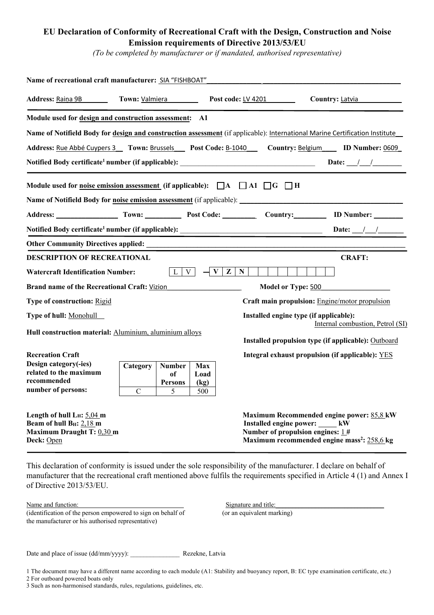## **EU Declaration of Conformity of Recreational Craft with the Design, Construction and Noise Emission requirements of Directive 2013/53/EU**

*(To be completed by manufacturer or if mandated, authorised representative)*

| Name of recreational craft manufacturer: SIA "FISHBOAT"                                                         |                                                         |                                            |                            |                                    |                                                                                                                                                                                 |  |  |
|-----------------------------------------------------------------------------------------------------------------|---------------------------------------------------------|--------------------------------------------|----------------------------|------------------------------------|---------------------------------------------------------------------------------------------------------------------------------------------------------------------------------|--|--|
| Address: Raina 9B                                                                                               | Town: Valmiera<br>Post code: LV 4201<br>Country: Latvia |                                            |                            |                                    |                                                                                                                                                                                 |  |  |
| Module used for design and construction assessment: A1                                                          |                                                         |                                            |                            |                                    |                                                                                                                                                                                 |  |  |
|                                                                                                                 |                                                         |                                            |                            |                                    | Name of Notifield Body for design and construction assessment (if applicable): International Marine Certification Institute                                                     |  |  |
|                                                                                                                 |                                                         |                                            |                            |                                    | Address: Rue Abbé Cuypers 3 Town: Brussels Post Code: B-1040 Country: Belgium ID Number: 0609                                                                                   |  |  |
| Notified Body certificate <sup>1</sup> number (if applicable): __________________________________               |                                                         |                                            | Date: $\frac{1}{\sqrt{2}}$ |                                    |                                                                                                                                                                                 |  |  |
| Module used for <u>noise emission assessment</u> (if applicable): $\Box A$ $\Box A1$ $\Box G$ $\Box$ H          |                                                         |                                            |                            |                                    |                                                                                                                                                                                 |  |  |
|                                                                                                                 |                                                         |                                            |                            |                                    |                                                                                                                                                                                 |  |  |
|                                                                                                                 |                                                         |                                            |                            |                                    | Address: Town: Town: Post Code: Country: UD Number:                                                                                                                             |  |  |
|                                                                                                                 |                                                         |                                            |                            |                                    | Date: $\frac{\frac{1}{2}}{\frac{1}{2}}$                                                                                                                                         |  |  |
|                                                                                                                 |                                                         |                                            |                            |                                    |                                                                                                                                                                                 |  |  |
| <b>DESCRIPTION OF RECREATIONAL</b>                                                                              |                                                         |                                            |                            |                                    | <b>CRAFT:</b>                                                                                                                                                                   |  |  |
| <b>Watercraft Identification Number:</b>                                                                        |                                                         | L V                                        |                            | $\mathbf{V} \mathbf{Z} \mathbf{N}$ |                                                                                                                                                                                 |  |  |
| Brand name of the Recreational Craft: Vizion                                                                    |                                                         |                                            |                            | Model or Type: 500                 |                                                                                                                                                                                 |  |  |
| <b>Type of construction: Rigid</b>                                                                              |                                                         |                                            |                            |                                    | Craft main propulsion: Engine/motor propulsion                                                                                                                                  |  |  |
| Type of hull: Monohull                                                                                          |                                                         |                                            |                            |                                    | Installed engine type (if applicable):<br>Internal combustion, Petrol (SI)                                                                                                      |  |  |
| Hull construction material: Aluminium, aluminium alloys                                                         |                                                         |                                            |                            |                                    | Installed propulsion type (if applicable): Outboard                                                                                                                             |  |  |
| <b>Recreation Craft</b><br>Design category(-ies)<br>related to the maximum<br>recommended<br>number of persons: | Category<br>$\mathbf C$                                 | <b>Number</b><br>of<br><b>Persons</b><br>5 | Max<br>Load<br>(kg)<br>500 |                                    | Integral exhaust propulsion (if applicable): YES                                                                                                                                |  |  |
| Length of hull $L_H$ : 5,04 m<br>Beam of hull $B_H: 2,18$ m<br>Maximum Draught T: 0,30 m<br>Deck: Open          |                                                         |                                            |                            |                                    | Maximum Recommended engine power: 85,8 kW<br>Installed engine power: ______ kW<br>Number of propulsion engines: $1#$<br>Maximum recommended engine mass <sup>2</sup> : 258.6 kg |  |  |

This declaration of conformity is issued under the sole responsibility of the manufacturer. I declare on behalf of manufacturer that the recreational craft mentioned above fulfils the requirements specified in Article 4 (1) and Annex I of Directive 2013/53/EU.

Name and function: Signature and title:

 $\overline{d}$  (identification of the person empowered to sign on behalf of  $\overline{d}$  (or an equivalent marking) the manufacturer or his authorised representative)

Date and place of issue (dd/mm/yyyy): \_\_\_\_\_\_\_\_\_\_\_\_\_\_\_ Rezekne, Latvia

1 The document may have a different name according to each module (A1: Stability and buoyancy report, B: EC type examination certificate, etc.)

2 For outboard powered boats only

<sup>3</sup> Such as non-harmonised standards, rules, regulations, guidelines, etc.